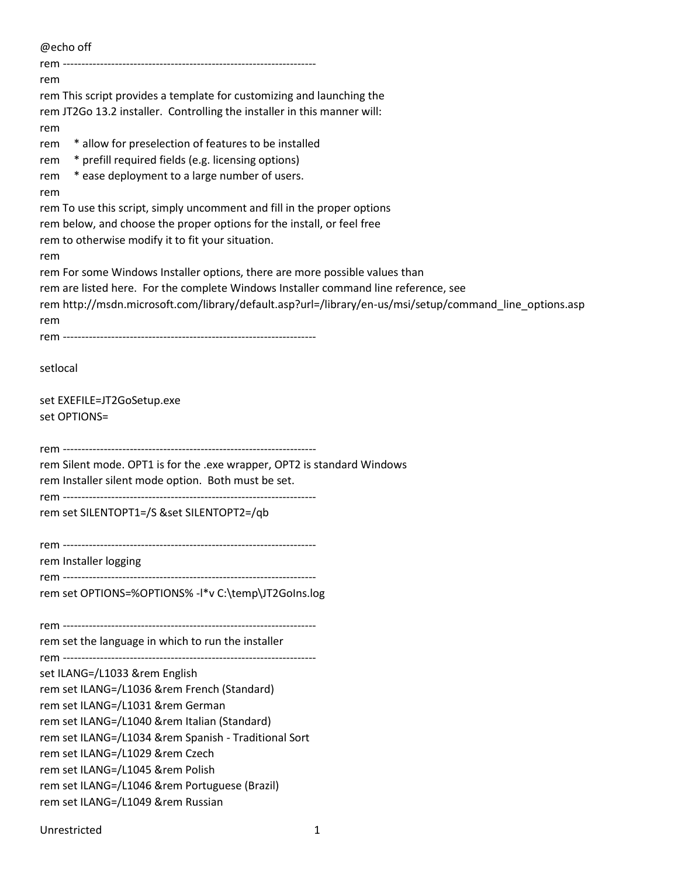| @echo off                                                                                                                                         |  |
|---------------------------------------------------------------------------------------------------------------------------------------------------|--|
|                                                                                                                                                   |  |
| rem                                                                                                                                               |  |
| rem This script provides a template for customizing and launching the                                                                             |  |
| rem JT2Go 13.2 installer. Controlling the installer in this manner will:                                                                          |  |
| rem                                                                                                                                               |  |
| * allow for preselection of features to be installed<br>rem                                                                                       |  |
| * prefill required fields (e.g. licensing options)<br>rem                                                                                         |  |
| * ease deployment to a large number of users.<br>rem                                                                                              |  |
| rem                                                                                                                                               |  |
| rem To use this script, simply uncomment and fill in the proper options<br>rem below, and choose the proper options for the install, or feel free |  |
| rem to otherwise modify it to fit your situation.                                                                                                 |  |
| rem                                                                                                                                               |  |
| rem For some Windows Installer options, there are more possible values than                                                                       |  |
| rem are listed here. For the complete Windows Installer command line reference, see                                                               |  |
| rem http://msdn.microsoft.com/library/default.asp?url=/library/en-us/msi/setup/command line options.asp                                           |  |
| rem                                                                                                                                               |  |
|                                                                                                                                                   |  |
|                                                                                                                                                   |  |
| setlocal                                                                                                                                          |  |
|                                                                                                                                                   |  |
| set EXEFILE=JT2GoSetup.exe                                                                                                                        |  |
| set OPTIONS=                                                                                                                                      |  |
|                                                                                                                                                   |  |
| rem Silent mode. OPT1 is for the .exe wrapper, OPT2 is standard Windows                                                                           |  |
| rem Installer silent mode option. Both must be set.                                                                                               |  |
|                                                                                                                                                   |  |
| rem set SILENTOPT1=/S &set SILENTOPT2=/qb                                                                                                         |  |
|                                                                                                                                                   |  |
|                                                                                                                                                   |  |
| rem Installer logging                                                                                                                             |  |
|                                                                                                                                                   |  |
| rem set OPTIONS=%OPTIONS% -I*v C:\temp\JT2GoIns.log                                                                                               |  |
|                                                                                                                                                   |  |
|                                                                                                                                                   |  |
| rem set the language in which to run the installer                                                                                                |  |
| set ILANG=/L1033 &rem English                                                                                                                     |  |
| rem set ILANG=/L1036 &rem French (Standard)                                                                                                       |  |
| rem set ILANG=/L1031 &rem German                                                                                                                  |  |
| rem set ILANG=/L1040 &rem Italian (Standard)                                                                                                      |  |
| rem set ILANG=/L1034 &rem Spanish - Traditional Sort                                                                                              |  |
| rem set ILANG=/L1029 &rem Czech                                                                                                                   |  |
| rem set ILANG=/L1045 &rem Polish                                                                                                                  |  |
| rem set ILANG=/L1046 &rem Portuguese (Brazil)                                                                                                     |  |
| rem set ILANG=/L1049 &rem Russian                                                                                                                 |  |
|                                                                                                                                                   |  |
| Unrestricted                                                                                                                                      |  |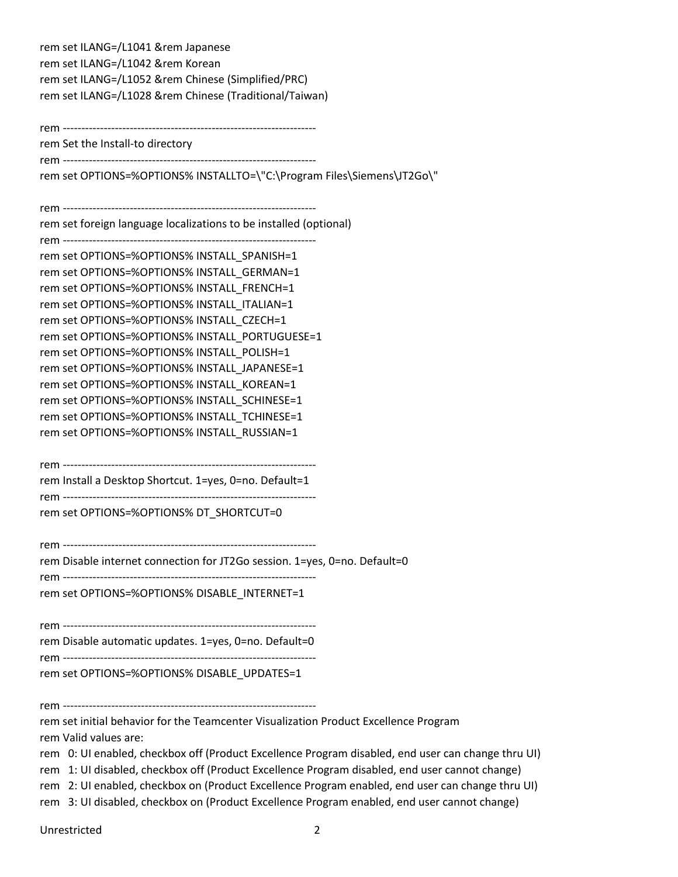rem set ILANG=/L1041 &rem Japanese rem set ILANG=/L1042 &rem Korean rem set ILANG=/L1052 &rem Chinese (Simplified/PRC) rem set ILANG=/L1028 &rem Chinese (Traditional/Taiwan)

rem --------------------------------------------------------------------

rem Set the Install-to directory rem --------------------------------------------------------------------

rem set OPTIONS=%OPTIONS% INSTALLTO=\"C:\Program Files\Siemens\JT2Go\"

rem --------------------------------------------------------------------

rem set foreign language localizations to be installed (optional)

rem --------------------------------------------------------------------

rem set OPTIONS=%OPTIONS% INSTALL\_SPANISH=1 rem set OPTIONS=%OPTIONS% INSTALL\_GERMAN=1 rem set OPTIONS=%OPTIONS% INSTALL\_FRENCH=1 rem set OPTIONS=%OPTIONS% INSTALL\_ITALIAN=1 rem set OPTIONS=%OPTIONS% INSTALL\_CZECH=1 rem set OPTIONS=%OPTIONS% INSTALL\_PORTUGUESE=1 rem set OPTIONS=%OPTIONS% INSTALL\_POLISH=1 rem set OPTIONS=%OPTIONS% INSTALL\_JAPANESE=1 rem set OPTIONS=%OPTIONS% INSTALL\_KOREAN=1 rem set OPTIONS=%OPTIONS% INSTALL\_SCHINESE=1 rem set OPTIONS=%OPTIONS% INSTALL\_TCHINESE=1 rem set OPTIONS=%OPTIONS% INSTALL\_RUSSIAN=1

rem --------------------------------------------------------------------

rem Install a Desktop Shortcut. 1=yes, 0=no. Default=1 rem --------------------------------------------------------------------

rem set OPTIONS=%OPTIONS% DT\_SHORTCUT=0

rem --------------------------------------------------------------------

rem Disable internet connection for JT2Go session. 1=yes, 0=no. Default=0

rem --------------------------------------------------------------------

rem set OPTIONS=%OPTIONS% DISABLE\_INTERNET=1

rem --------------------------------------------------------------------

rem Disable automatic updates. 1=yes, 0=no. Default=0

rem ------------------------------------------------------------------- rem set OPTIONS=%OPTIONS% DISABLE\_UPDATES=1

rem --------------------------------------------------------------------

rem set initial behavior for the Teamcenter Visualization Product Excellence Program rem Valid values are:

rem 0: UI enabled, checkbox off (Product Excellence Program disabled, end user can change thru UI)

rem 1: UI disabled, checkbox off (Product Excellence Program disabled, end user cannot change)

rem 2: UI enabled, checkbox on (Product Excellence Program enabled, end user can change thru UI)

rem 3: UI disabled, checkbox on (Product Excellence Program enabled, end user cannot change)